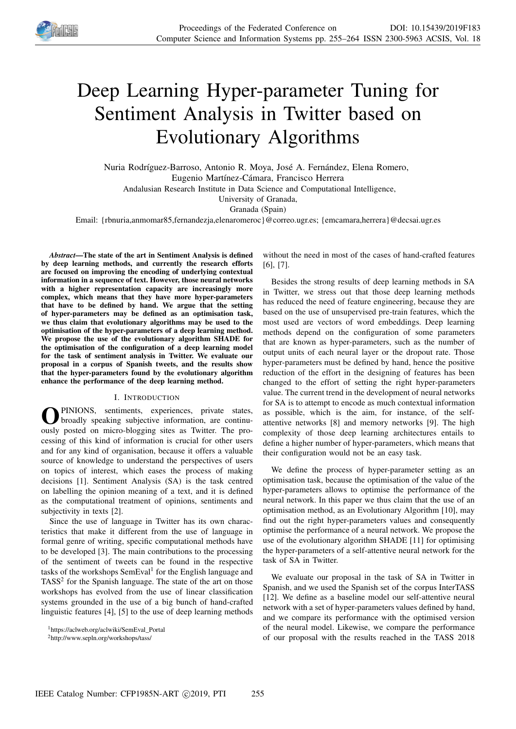

# Deep Learning Hyper-parameter Tuning for Sentiment Analysis in Twitter based on Evolutionary Algorithms

Nuria Rodríguez-Barroso, Antonio R. Moya, José A. Fernández, Elena Romero, Eugenio Martínez-Cámara, Francisco Herrera

Andalusian Research Institute in Data Science and Computational Intelligence,

University of Granada,

Granada (Spain)

Email: {rbnuria,anmomar85,fernandezja,elenaromeroc}@correo.ugr.es; {emcamara,herrera}@decsai.ugr.es

*Abstract*—The state of the art in Sentiment Analysis is defined by deep learning methods, and currently the research efforts are focused on improving the encoding of underlying contextual information in a sequence of text. However, those neural networks with a higher representation capacity are increasingly more complex, which means that they have more hyper-parameters that have to be defined by hand. We argue that the setting of hyper-parameters may be defined as an optimisation task, we thus claim that evolutionary algorithms may be used to the optimisation of the hyper-parameters of a deep learning method. We propose the use of the evolutionary algorithm SHADE for the optimisation of the configuration of a deep learning model for the task of sentiment analysis in Twitter. We evaluate our proposal in a corpus of Spanish tweets, and the results show that the hyper-parameters found by the evolutionary algorithm enhance the performance of the deep learning method.

# I. INTRODUCTION

**O** PINIONS, sentiments, experiences, private states, broadly speaking subjective information, are continuously posted on micro-blogging sites as Twitter. The pro-PINIONS, sentiments, experiences, private states, broadly speaking subjective information, are continucessing of this kind of information is crucial for other users and for any kind of organisation, because it offers a valuable source of knowledge to understand the perspectives of users on topics of interest, which eases the process of making decisions [1]. Sentiment Analysis (SA) is the task centred on labelling the opinion meaning of a text, and it is defined as the computational treatment of opinions, sentiments and subjectivity in texts [2].

Since the use of language in Twitter has its own characteristics that make it different from the use of language in formal genre of writing, specific computational methods have to be developed [3]. The main contributions to the processing of the sentiment of tweets can be found in the respective tasks of the workshops SemEval<sup>1</sup> for the English language and TASS<sup>2</sup> for the Spanish language. The state of the art on those workshops has evolved from the use of linear classification systems grounded in the use of a big bunch of hand-crafted linguistic features [4], [5] to the use of deep learning methods

without the need in most of the cases of hand-crafted features [6], [7].

Besides the strong results of deep learning methods in SA in Twitter, we stress out that those deep learning methods has reduced the need of feature engineering, because they are based on the use of unsupervised pre-train features, which the most used are vectors of word embeddings. Deep learning methods depend on the configuration of some parameters that are known as hyper-parameters, such as the number of output units of each neural layer or the dropout rate. Those hyper-parameters must be defined by hand, hence the positive reduction of the effort in the designing of features has been changed to the effort of setting the right hyper-parameters value. The current trend in the development of neural networks for SA is to attempt to encode as much contextual information as possible, which is the aim, for instance, of the selfattentive networks [8] and memory networks [9]. The high complexity of those deep learning architectures entails to define a higher number of hyper-parameters, which means that their configuration would not be an easy task.

We define the process of hyper-parameter setting as an optimisation task, because the optimisation of the value of the hyper-parameters allows to optimise the performance of the neural network. In this paper we thus claim that the use of an optimisation method, as an Evolutionary Algorithm [10], may find out the right hyper-parameters values and consequently optimise the performance of a neural network. We propose the use of the evolutionary algorithm SHADE [11] for optimising the hyper-parameters of a self-attentive neural network for the task of SA in Twitter.

We evaluate our proposal in the task of SA in Twitter in Spanish, and we used the Spanish set of the corpus InterTASS [12]. We define as a baseline model our self-attentive neural network with a set of hyper-parameters values defined by hand, and we compare its performance with the optimised version of the neural model. Likewise, we compare the performance of our proposal with the results reached in the TASS 2018

<sup>&</sup>lt;sup>1</sup>https://aclweb.org/aclwiki/SemEval\_Portal

<sup>2</sup>http://www.sepln.org/workshops/tass/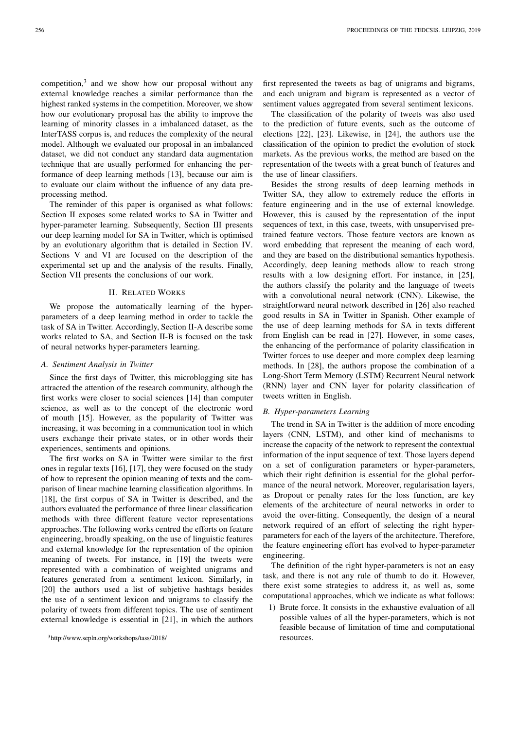competition,<sup>3</sup> and we show how our proposal without any external knowledge reaches a similar performance than the highest ranked systems in the competition. Moreover, we show how our evolutionary proposal has the ability to improve the learning of minority classes in a imbalanced dataset, as the InterTASS corpus is, and reduces the complexity of the neural model. Although we evaluated our proposal in an imbalanced dataset, we did not conduct any standard data augmentation technique that are usually performed for enhancing the performance of deep learning methods [13], because our aim is to evaluate our claim without the influence of any data preprocessing method.

The reminder of this paper is organised as what follows: Section II exposes some related works to SA in Twitter and hyper-parameter learning. Subsequently, Section III presents our deep learning model for SA in Twitter, which is optimised by an evolutionary algorithm that is detailed in Section IV. Sections V and VI are focused on the description of the experimental set up and the analysis of the results. Finally, Section VII presents the conclusions of our work.

#### II. RELATED WORKS

We propose the automatically learning of the hyperparameters of a deep learning method in order to tackle the task of SA in Twitter. Accordingly, Section II-A describe some works related to SA, and Section II-B is focused on the task of neural networks hyper-parameters learning.

# *A. Sentiment Analysis in Twitter*

Since the first days of Twitter, this microblogging site has attracted the attention of the research community, although the first works were closer to social sciences [14] than computer science, as well as to the concept of the electronic word of mouth [15]. However, as the popularity of Twitter was increasing, it was becoming in a communication tool in which users exchange their private states, or in other words their experiences, sentiments and opinions.

The first works on SA in Twitter were similar to the first ones in regular texts [16], [17], they were focused on the study of how to represent the opinion meaning of texts and the comparison of linear machine learning classification algorithms. In [18], the first corpus of SA in Twitter is described, and the authors evaluated the performance of three linear classification methods with three different feature vector representations approaches. The following works centred the efforts on feature engineering, broadly speaking, on the use of linguistic features and external knowledge for the representation of the opinion meaning of tweets. For instance, in [19] the tweets were represented with a combination of weighted unigrams and features generated from a sentiment lexicon. Similarly, in [20] the authors used a list of subjetive hashtags besides the use of a sentiment lexicon and unigrams to classify the polarity of tweets from different topics. The use of sentiment external knowledge is essential in [21], in which the authors

first represented the tweets as bag of unigrams and bigrams, and each unigram and bigram is represented as a vector of sentiment values aggregated from several sentiment lexicons.

The classification of the polarity of tweets was also used to the prediction of future events, such as the outcome of elections [22], [23]. Likewise, in [24], the authors use the classification of the opinion to predict the evolution of stock markets. As the previous works, the method are based on the representation of the tweets with a great bunch of features and the use of linear classifiers.

Besides the strong results of deep learning methods in Twitter SA, they allow to extremely reduce the efforts in feature engineering and in the use of external knowledge. However, this is caused by the representation of the input sequences of text, in this case, tweets, with unsupervised pretrained feature vectors. Those feature vectors are known as word embedding that represent the meaning of each word, and they are based on the distributional semantics hypothesis. Accordingly, deep leaning methods allow to reach strong results with a low designing effort. For instance, in [25], the authors classify the polarity and the language of tweets with a convolutional neural network (CNN). Likewise, the straightforward neural network described in [26] also reached good results in SA in Twitter in Spanish. Other example of the use of deep learning methods for SA in texts different from English can be read in [27]. However, in some cases, the enhancing of the performance of polarity classification in Twitter forces to use deeper and more complex deep learning methods. In [28], the authors propose the combination of a Long-Short Term Memory (LSTM) Recurrent Neural network (RNN) layer and CNN layer for polarity classification of tweets written in English.

# *B. Hyper-parameters Learning*

The trend in SA in Twitter is the addition of more encoding layers (CNN, LSTM), and other kind of mechanisms to increase the capacity of the network to represent the contextual information of the input sequence of text. Those layers depend on a set of configuration parameters or hyper-parameters, which their right definition is essential for the global performance of the neural network. Moreover, regularisation layers, as Dropout or penalty rates for the loss function, are key elements of the architecture of neural networks in order to avoid the over-fitting. Consequently, the design of a neural network required of an effort of selecting the right hyperparameters for each of the layers of the architecture. Therefore, the feature engineering effort has evolved to hyper-parameter engineering.

The definition of the right hyper-parameters is not an easy task, and there is not any rule of thumb to do it. However, there exist some strategies to address it, as well as, some computational approaches, which we indicate as what follows:

1) Brute force. It consists in the exhaustive evaluation of all possible values of all the hyper-parameters, which is not feasible because of limitation of time and computational resources.

<sup>3</sup>http://www.sepln.org/workshops/tass/2018/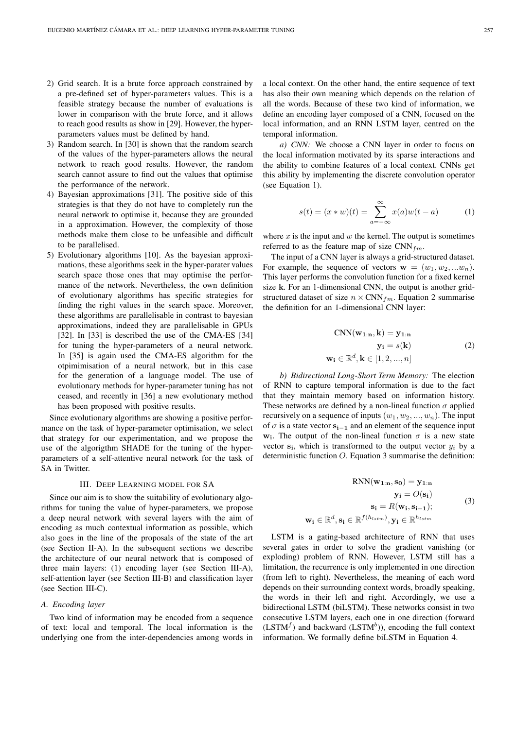- 2) Grid search. It is a brute force approach constrained by a pre-defined set of hyper-parameters values. This is a feasible strategy because the number of evaluations is lower in comparison with the brute force, and it allows to reach good results as show in [29]. However, the hyperparameters values must be defined by hand.
- 3) Random search. In [30] is shown that the random search of the values of the hyper-parameters allows the neural network to reach good results. However, the random search cannot assure to find out the values that optimise the performance of the network.
- 4) Bayesian approximations [31]. The positive side of this strategies is that they do not have to completely run the neural network to optimise it, because they are grounded in a approximation. However, the complexity of those methods make them close to be unfeasible and difficult to be parallelised.
- 5) Evolutionary algorithms [10]. As the bayesian approximations, these algorithms seek in the hyper-parater values search space those ones that may optimise the performance of the network. Nevertheless, the own definition of evolutionary algorithms has specific strategies for finding the right values in the search space. Moreover, these algorithms are parallelisable in contrast to bayesian approximations, indeed they are parallelisable in GPUs [32]. In [33] is described the use of the CMA-ES [34] for tuning the hyper-parameters of a neural network. In [35] is again used the CMA-ES algorithm for the otpimimisation of a neural network, but in this case for the generation of a language model. The use of evolutionary methods for hyper-parameter tuning has not ceased, and recently in [36] a new evolutionary method has been proposed with positive results.

Since evolutionary algorithms are showing a positive performance on the task of hyper-parameter optimisation, we select that strategy for our experimentation, and we propose the use of the algorigthm SHADE for the tuning of the hyperparameters of a self-attentive neural network for the task of SA in Twitter.

#### III. DEEP LEARNING MODEL FOR SA

Since our aim is to show the suitability of evolutionary algorithms for tuning the value of hyper-parameters, we propose a deep neural network with several layers with the aim of encoding as much contextual information as possible, which also goes in the line of the proposals of the state of the art (see Section II-A). In the subsequent sections we describe the architecture of our neural network that is composed of three main layers: (1) encoding layer (see Section III-A), self-attention layer (see Section III-B) and classification layer (see Section III-C).

# *A. Encoding layer*

Two kind of information may be encoded from a sequence of text: local and temporal. The local information is the underlying one from the inter-dependencies among words in

a local context. On the other hand, the entire sequence of text has also their own meaning which depends on the relation of all the words. Because of these two kind of information, we define an encoding layer composed of a CNN, focused on the local information, and an RNN LSTM layer, centred on the temporal information.

*a) CNN:* We choose a CNN layer in order to focus on the local information motivated by its sparse interactions and the ability to combine features of a local context. CNNs get this ability by implementing the discrete convolution operator (see Equation 1).

$$
s(t) = (x * w)(t) = \sum_{a = -\infty}^{\infty} x(a)w(t - a)
$$
 (1)

where  $x$  is the input and  $w$  the kernel. The output is sometimes referred to as the feature map of size  $CNN_{fm}$ .

The input of a CNN layer is always a grid-structured dataset. For example, the sequence of vectors  $\mathbf{w} = (w_1, w_2, ... w_n)$ . This layer performs the convolution function for a fixed kernel size k. For an 1-dimensional CNN, the output is another gridstructured dataset of size  $n \times \text{CNN}_{fm}$ . Equation 2 summarise the definition for an 1-dimensional CNN layer:

$$
\begin{aligned}\n\text{CNN}(\mathbf{w}_{1:n}, \mathbf{k}) &= \mathbf{y}_{1:n} \\
\mathbf{y_i} &= s(\mathbf{k}) \\
\mathbf{w_i} &\in \mathbb{R}^d, \mathbf{k} \in [1, 2, ..., n]\n\end{aligned} \tag{2}
$$

*b) Bidirectional Long-Short Term Memory:* The election of RNN to capture temporal information is due to the fact that they maintain memory based on information history. These networks are defined by a non-lineal function  $\sigma$  applied recursively on a sequence of inputs  $(w_1, w_2, ..., w_n)$ . The input of  $\sigma$  is a state vector  $s_{i-1}$  and an element of the sequence input  $w_i$ . The output of the non-lineal function  $\sigma$  is a new state vector  $s_i$ , which is transformed to the output vector  $y_i$  by a deterministic function  $O$ . Equation 3 summarise the definition:

$$
RNN(\mathbf{w}_{1:n}, \mathbf{s}_0) = \mathbf{y}_{1:n}
$$

$$
\mathbf{y_i} = O(\mathbf{s_i})
$$

$$
\mathbf{s_i} = R(\mathbf{w_i}, \mathbf{s_{i-1}});
$$
(3)
$$
\mathbf{w_i} \in \mathbb{R}^d, \mathbf{s_i} \in \mathbb{R}^{f(h_{lstm})}, \mathbf{y_i} \in \mathbb{R}^{h_{lstm}}
$$

LSTM is a gating-based architecture of RNN that uses several gates in order to solve the gradient vanishing (or exploding) problem of RNN. However, LSTM still has a limitation, the recurrence is only implemented in one direction (from left to right). Nevertheless, the meaning of each word depends on their surrounding context words, broadly speaking, the words in their left and right. Accordingly, we use a bidirectional LSTM (biLSTM). These networks consist in two consecutive LSTM layers, each one in one direction (forward  $(LSTM<sup>f</sup>)$  and backward  $(LSTM<sup>b</sup>)$ ), encoding the full context information. We formally define biLSTM in Equation 4.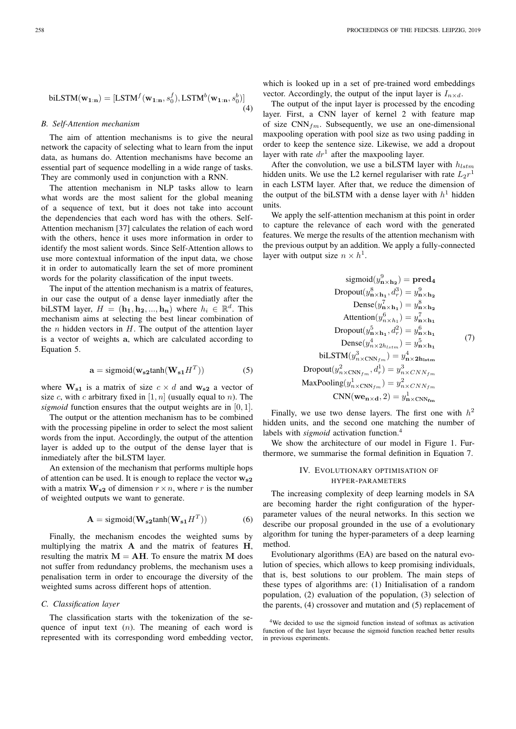$$
\text{biLSTM}(\mathbf{w}_{1:n}) = [\text{LSTM}^f(\mathbf{w}_{1:n}, s_0^f), \text{LSTM}^b(\mathbf{w}_{1:n}, s_0^b)]
$$
\n(4)

#### *B. Self-Attention mechanism*

The aim of attention mechanisms is to give the neural network the capacity of selecting what to learn from the input data, as humans do. Attention mechanisms have become an essential part of sequence modelling in a wide range of tasks. They are commonly used in conjunction with a RNN.

The attention mechanism in NLP tasks allow to learn what words are the most salient for the global meaning of a sequence of text, but it does not take into account the dependencies that each word has with the others. Self-Attention mechanism [37] calculates the relation of each word with the others, hence it uses more information in order to identify the most salient words. Since Self-Attention allows to use more contextual information of the input data, we chose it in order to automatically learn the set of more prominent words for the polarity classification of the input tweets.

The input of the attention mechanism is a matrix of features, in our case the output of a dense layer inmediatly after the biLSTM layer,  $H = (\mathbf{h_1}, \mathbf{h_2}, ..., \mathbf{h_n})$  where  $h_i \in \mathbb{R}^d$ . This mechanism aims at selecting the best linear combination of the  $n$  hidden vectors in  $H$ . The output of the attention layer is a vector of weights a, which are calculated according to Equation 5.

$$
\mathbf{a} = \text{sigmoid}(\mathbf{w}_{s2} \text{tanh}(\mathbf{W}_{s1} H^T))
$$
 (5)

where  $W_{s1}$  is a matrix of size  $c \times d$  and  $w_{s2}$  a vector of size c, with c arbitrary fixed in  $[1, n]$  (usually equal to n). The *sigmoid* function ensures that the output weights are in [0, 1].

The output or the attention mechanism has to be combined with the processing pipeline in order to select the most salient words from the input. Accordingly, the output of the attention layer is added up to the output of the dense layer that is inmediately after the biLSTM layer.

An extension of the mechanism that performs multiple hops of attention can be used. It is enough to replace the vector  $w_{s2}$ with a matrix  $\mathbf{W}_{s2}$  of dimension  $r \times n$ , where r is the number of weighted outputs we want to generate.

$$
\mathbf{A} = \text{sigmoid}(\mathbf{W}_{s2} \text{tanh}(\mathbf{W}_{s1} H^T))
$$
 (6)

Finally, the mechanism encodes the weighted sums by multiplying the matrix A and the matrix of features H, resulting the matrix  $M = AH$ . To ensure the matrix M does not suffer from redundancy problems, the mechanism uses a penalisation term in order to encourage the diversity of the weighted sums across different hops of attention.

#### *C. Classification layer*

The classification starts with the tokenization of the sequence of input text  $(n)$ . The meaning of each word is represented with its corresponding word embedding vector, which is looked up in a set of pre-trained word embeddings vector. Accordingly, the output of the input layer is  $I_{n \times d}$ .

The output of the input layer is processed by the encoding layer. First, a CNN layer of kernel 2 with feature map of size  $CNN_{fm}$ . Subsequently, we use an one-dimensional maxpooling operation with pool size as two using padding in order to keep the sentence size. Likewise, we add a dropout layer with rate  $dr<sup>1</sup>$  after the maxpooling layer.

After the convolution, we use a biLSTM layer with  $h_{lstm}$ hidden units. We use the L2 kernel regulariser with rate  $L_2r^1$ in each LSTM layer. After that, we reduce the dimension of the output of the biLSTM with a dense layer with  $h<sup>1</sup>$  hidden units.

We apply the self-attention mechanism at this point in order to capture the relevance of each word with the generated features. We merge the results of the attention mechanism with the previous output by an addition. We apply a fully-connected layer with output size  $n \times h^1$ .

$$
sigmoid(yn×h29) = pred4
$$
  
Dropout(y<sub>n×h<sub>1</sub><sup>8</sup>, d<sub>r</sub><sup>3</sup>) = y<sub>n×h<sub>2</sub><sup>9</sup>  
Dense(y<sub>n×h<sub>1</sub><sup>7</sup>) = y<sub>n×h<sub>2</sub><sup>8</sup></sub>  
Attention(y<sub>n×h<sub>1</sub><sup>6</sup>) = y<sub>n×h<sub>1</sub><sup>7</sup>  
Dropout(y<sub>n×h<sub>1</sub><sup>6</sup>, d<sub>r</sub><sup>2</sup>) = y<sub>n×h<sub>1</sub><sup>6</sup>  
Dense(y<sub>n×2h<sub>1</sub>sin) = y<sub>n×h<sub>1</sub><sup>5</sup>  
bil.STM(y<sub>n×CNN<sub>fm</sub><sup>8</sup>) = y<sub>n×2h<sub>1</sub>sin</sub>  
Dropout(y<sub>n×CNN<sub>fm</sub><sup>8</sup>, d<sub>r</sub><sup>1</sup>) = y<sub>n×CNN<sub>fm</sub><sup>8</sup>  
MaxPooling(y<sub>n×CNN<sub>fm</sub><sup>8</sup>) = y<sub>n×CNN<sub>fm</sub><sup>8</sup>  
CNN(we<sub>n×d</sub>, 2) = y<sub>n×CNN<sub>fm</sub><sup>8</sup></sub></sub></sub></sub></sub></sub></sub></sub></sub></sub></sub></sub></sub></sub></sub>

Finally, we use two dense layers. The first one with  $h^2$ hidden units, and the second one matching the number of labels with *sigmoid* activation function.<sup>4</sup>

We show the architecture of our model in Figure 1. Furthermore, we summarise the formal definition in Equation 7.

# IV. EVOLUTIONARY OPTIMISATION OF HYPER-PARAMETERS

The increasing complexity of deep learning models in SA are becoming harder the right configuration of the hyperparameter values of the neural networks. In this section we describe our proposal grounded in the use of a evolutionary algorithm for tuning the hyper-parameters of a deep learning method.

Evolutionary algorithms (EA) are based on the natural evolution of species, which allows to keep promising individuals, that is, best solutions to our problem. The main steps of these types of algorithms are: (1) Initialisation of a random population, (2) evaluation of the population, (3) selection of the parents, (4) crossover and mutation and (5) replacement of

<sup>&</sup>lt;sup>4</sup>We decided to use the sigmoid function instead of softmax as activation function of the last layer because the sigmoid function reached better results in previous experiments.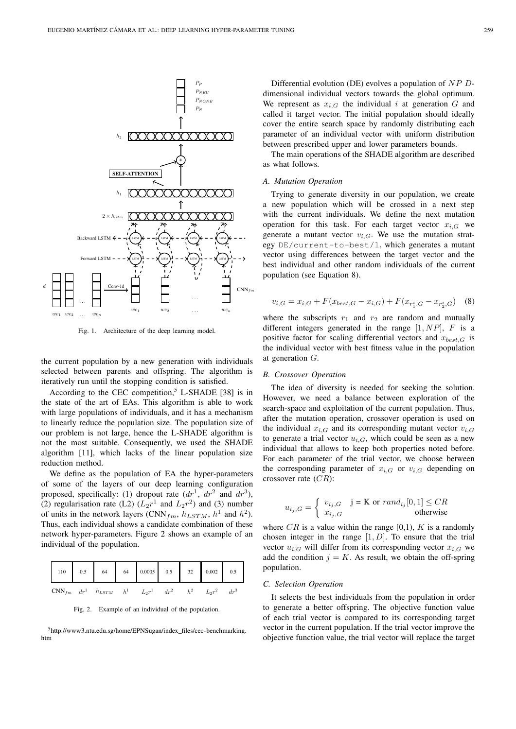

Fig. 1. Architecture of the deep learning model.

the current population by a new generation with individuals selected between parents and offspring. The algorithm is iteratively run until the stopping condition is satisfied.

According to the CEC competition,<sup>5</sup> L-SHADE [38] is in the state of the art of EAs. This algorithm is able to work with large populations of individuals, and it has a mechanism to linearly reduce the population size. The population size of our problem is not large, hence the L-SHADE algorithm is not the most suitable. Consequently, we used the SHADE algorithm [11], which lacks of the linear population size reduction method.

We define as the population of EA the hyper-parameters of some of the layers of our deep learning configuration proposed, specifically: (1) dropout rate  $(dr^1, dr^2$  and  $dr^3$ ), (2) regularisation rate (L2)  $(L_2r^1$  and  $L_2r^2$ ) and (3) number of units in the network layers (CNN<sub>fm</sub>,  $h_{LSTM}$ ,  $h^1$  and  $h^2$ ). Thus, each individual shows a candidate combination of these network hyper-parameters. Figure 2 shows an example of an individual of the population.

| 110   0.5   64   64   0.0005   0.5   32   0.002   0.5                    |  |  |  |  |
|--------------------------------------------------------------------------|--|--|--|--|
| $CNN_{fm}$ $dr^1$ $h_{LSTM}$ $h^1$ $L_2r^1$ $dr^2$ $h^2$ $L_2r^2$ $dr^3$ |  |  |  |  |

Fig. 2. Example of an individual of the population.

<sup>5</sup>http://www3.ntu.edu.sg/home/EPNSugan/index\_files/cec-benchmarking. htm

Differential evolution (DE) evolves a population of NP Ddimensional individual vectors towards the global optimum. We represent as  $x_{i,G}$  the individual i at generation G and called it target vector. The initial population should ideally cover the entire search space by randomly distributing each parameter of an individual vector with uniform distribution between prescribed upper and lower parameters bounds.

The main operations of the SHADE algorithm are described as what follows.

#### *A. Mutation Operation*

Trying to generate diversity in our population, we create a new population which will be crossed in a next step with the current individuals. We define the next mutation operation for this task. For each target vector  $x_{i,G}$  we generate a mutant vector  $v_{i,G}$ . We use the mutation strategy DE/current-to-best/1, which generates a mutant vector using differences between the target vector and the best individual and other random individuals of the current population (see Equation 8).

$$
v_{i,G} = x_{i,G} + F(x_{best,G} - x_{i,G}) + F(x_{r_i^i,G} - x_{r_2^i,G})
$$
 (8)

where the subscripts  $r_1$  and  $r_2$  are random and mutually different integers generated in the range  $[1, NP]$ , F is a positive factor for scaling differential vectors and  $x_{best,G}$  is the individual vector with best fitness value in the population at generation G.

# *B. Crossover Operation*

The idea of diversity is needed for seeking the solution. However, we need a balance between exploration of the search-space and exploitation of the current population. Thus, after the mutation operation, crossover operation is used on the individual  $x_{i,G}$  and its corresponding mutant vector  $v_{i,G}$ to generate a trial vector  $u_{i,G}$ , which could be seen as a new individual that allows to keep both properties noted before. For each parameter of the trial vector, we choose between the corresponding parameter of  $x_{i,G}$  or  $v_{i,G}$  depending on crossover rate  $(CR)$ :

$$
u_{i_j,G} = \begin{cases} v_{i_j,G} & \text{if } j = K \text{ or } rand_{i_j}[0,1] \leq CR\\ x_{i_j,G} & \text{otherwise} \end{cases}
$$

where  $CR$  is a value within the range [0,1), K is a randomly chosen integer in the range  $[1, D]$ . To ensure that the trial vector  $u_{i,G}$  will differ from its corresponding vector  $x_{i,G}$  we add the condition  $j = K$ . As result, we obtain the off-spring population.

#### *C. Selection Operation*

It selects the best individuals from the population in order to generate a better offspring. The objective function value of each trial vector is compared to its corresponding target vector in the current population. If the trial vector improve the objective function value, the trial vector will replace the target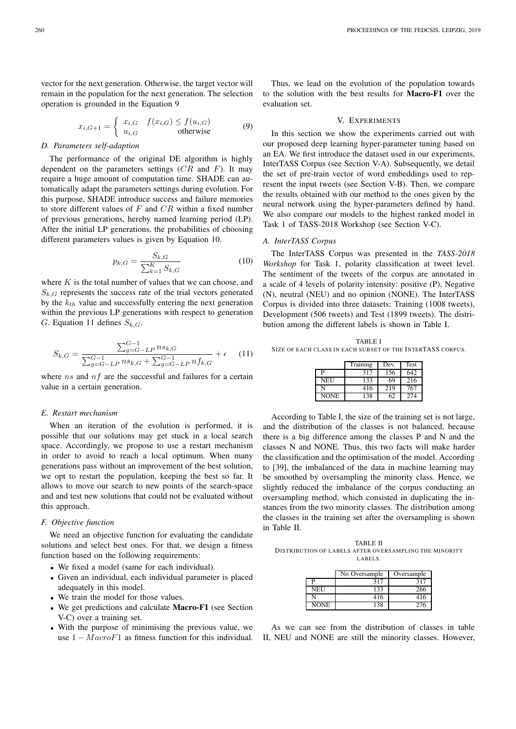vector for the next generation. Otherwise, the target vector will remain in the population for the next generation. The selection operation is grounded in the Equation 9

$$
x_{i,G+1} = \begin{cases} x_{i,G} & f(x_{i,G}) \le f(u_{i,G}) \\ u_{i,G} & \text{otherwise} \end{cases}
$$
(9)

# *D. Parameters self-adaption*

The performance of the original DE algorithm is highly dependent on the parameters settings  $(CR \text{ and } F)$ . It may require a huge amount of computation time. SHADE can automatically adapt the parameters settings during evolution. For this purpose, SHADE introduce success and failure memories to store different values of  $F$  and  $CR$  within a fixed number of previous generations, hereby named learning period (LP). After the initial LP generations, the probabilities of choosing different parameters values is given by Equation 10.

$$
p_{k,G} = \frac{S_{k,G}}{\sum_{k=1}^{K} S_{k,G}}
$$
(10)

where  $K$  is the total number of values that we can choose, and  $S_{k,G}$  represents the success rate of the trial vectors generated by the  $k_{th}$  value and successfully entering the next generation within the previous LP generations with respect to generation G. Equation 11 defines  $S_{k,G}$ .

$$
S_{k,G} = \frac{\sum_{g=G-LP}^{G-1} n s_{k,G}}{\sum_{g=G-LP}^{G-1} n s_{k,G} + \sum_{g=G-LP}^{G-1} n f_{k,G}} + \epsilon \quad (11)
$$

where  $ns$  and  $nf$  are the successful and failures for a certain value in a certain generation.

# *E. Restart mechanism*

When an iteration of the evolution is performed, it is possible that our solutions may get stuck in a local search space. Accordingly, we propose to use a restart mechanism in order to avoid to reach a local optimum. When many generations pass without an improvement of the best solution, we opt to restart the population, keeping the best so far. It allows to move our search to new points of the search-space and and test new solutions that could not be evaluated without this approach.

#### *F. Objective function*

We need an objective function for evaluating the candidate solutions and select best ones. For that, we design a fitness function based on the following requirements:

- We fixed a model (same for each individual).
- Given an individual, each individual parameter is placed adequately in this model.
- We train the model for those values.
- We get predictions and calculate **Macro-F1** (see Section V-C) over a training set.
- With the purpose of minimising the previous value, we use  $1 - MacroF1$  as fitness function for this individual.

Thus, we lead on the evolution of the population towards to the solution with the best results for Macro-F1 over the evaluation set.

# V. EXPERIMENTS

In this section we show the experiments carried out with our proposed deep learning hyper-parameter tuning based on an EA. We first introduce the dataset used in our experiments, InterTASS Corpus (see Section V-A). Subsequently, we detail the set of pre-train vector of word embeddings used to represent the input tweets (see Section V-B). Then, we compare the results obtained with our method to the ones given by the neural network using the hyper-parameters defined by hand. We also compare our models to the highest ranked model in Task 1 of TASS-2018 Workshop (see Section V-C).

# *A. InterTASS Corpus*

The InterTASS Corpus was presented in the *TASS-2018 Workshop* for Task 1, polarity classification at tweet level. The sentiment of the tweets of the corpus are annotated in a scale of 4 levels of polarity intensity: positive (P), Negative (N), neutral (NEU) and no opinion (NONE). The InterTASS Corpus is divided into three datasets: Training (1008 tweets), Development (506 tweets) and Test (1899 tweets). The distribution among the different labels is shown in Table I.

TABLE I SIZE OF EACH CLASS IN EACH SUBSET OF THE INTERTASS CORPUS.

|             | Training | Dev. | Test |
|-------------|----------|------|------|
| P           | 317      | 156  | 642  |
| <b>NEU</b>  | 133      | 69   | 216  |
| N           | 416      | 219  | 767  |
| <b>NONE</b> | 138      | 62   | 274  |

According to Table I, the size of the training set is not large, and the distribution of the classes is not balanced, because there is a big difference among the classes P and N and the classes N and NONE. Thus, this two facts will make harder the classification and the optimisation of the model. According to [39], the imbalanced of the data in machine learning may be smoothed by oversampling the minority class. Hence, we slightly reduced the imbalance of the corpus conducting an oversampling method, which consisted in duplicating the instances from the two minority classes. The distribution among the classes in the training set after the oversampling is shown in Table II.

TABLE II DISTRIBUTION OF LABELS AFTER OVERSAMPLING THE MINORITY LABELS.

|             | No Oversample | Oversample |
|-------------|---------------|------------|
| D           | 317           | 317        |
| NEU         | 133           | 266        |
|             | 416           | 416        |
| <b>NONE</b> | 138           | 276        |

As we can see from the distribution of classes in table II, NEU and NONE are still the minority classes. However,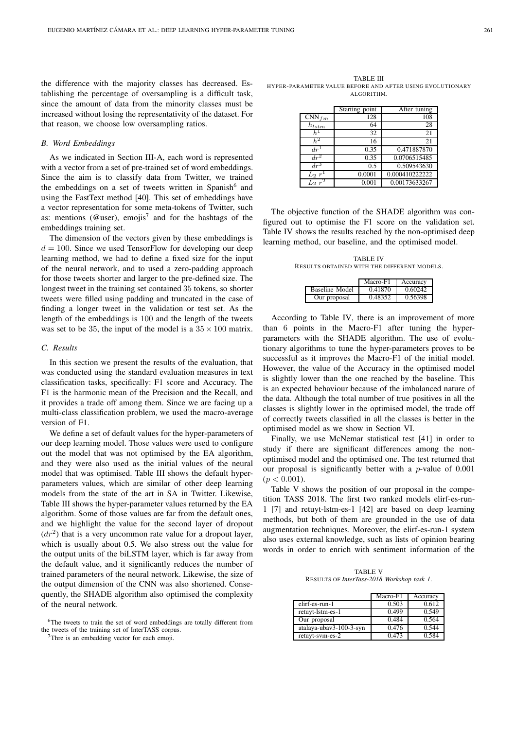the difference with the majority classes has decreased. Establishing the percentage of oversampling is a difficult task, since the amount of data from the minority classes must be increased without losing the representativity of the dataset. For that reason, we choose low oversampling ratios.

#### *B. Word Embeddings*

As we indicated in Section III-A, each word is represented with a vector from a set of pre-trained set of word embeddings. Since the aim is to classify data from Twitter, we trained the embeddings on a set of tweets written in Spanish<sup>6</sup> and using the FastText method [40]. This set of embeddings have a vector representation for some meta-tokens of Twitter, such as: mentions (@user), emojis<sup>7</sup> and for the hashtags of the embeddings training set.

The dimension of the vectors given by these embeddings is  $d = 100$ . Since we used TensorFlow for developing our deep learning method, we had to define a fixed size for the input of the neural network, and to used a zero-padding approach for those tweets shorter and larger to the pre-defined size. The longest tweet in the training set contained 35 tokens, so shorter tweets were filled using padding and truncated in the case of finding a longer tweet in the validation or test set. As the length of the embeddings is 100 and the length of the tweets was set to be 35, the input of the model is a  $35 \times 100$  matrix.

# *C. Results*

In this section we present the results of the evaluation, that was conducted using the standard evaluation measures in text classification tasks, specifically: F1 score and Accuracy. The F1 is the harmonic mean of the Precision and the Recall, and it provides a trade off among them. Since we are facing up a multi-class classification problem, we used the macro-average version of F1.

We define a set of default values for the hyper-parameters of our deep learning model. Those values were used to configure out the model that was not optimised by the EA algorithm, and they were also used as the initial values of the neural model that was optimised. Table III shows the default hyperparameters values, which are similar of other deep learning models from the state of the art in SA in Twitter. Likewise, Table III shows the hyper-parameter values returned by the EA algorithm. Some of those values are far from the default ones, and we highlight the value for the second layer of dropout  $(dr<sup>2</sup>)$  that is a very uncommon rate value for a dropout layer, which is usually about 0.5. We also stress out the value for the output units of the biLSTM layer, which is far away from the default value, and it significantly reduces the number of trained parameters of the neural network. Likewise, the size of the output dimension of the CNN was also shortened. Consequently, the SHADE algorithm also optimised the complexity of the neural network.

<sup>7</sup>Thre is an embedding vector for each emoji.

TABLE III HYPER-PARAMETER VALUE BEFORE AND AFTER US ING EVOLUTIONARY ALGORITHM.

|                              | Starting point | After tuning   |
|------------------------------|----------------|----------------|
| $\overline{\text{CNN}}_{fm}$ | 128            | 108            |
| $h_{lstm}$                   | 64             | 28             |
|                              | 32             | 21             |
| $h^2$                        | 16             | 21             |
| $dr^{\perp}$                 | 0.35           | 0.471887870    |
| $dr^2$                       | 0.35           | 0.0706515485   |
| $dr^3$                       | 0.5            | 0.509543630    |
| $L_2 r$                      | 0.0001         | 0.000410222222 |
|                              | 0.001          | 0.00173633267  |

The objective function of the SHADE algorithm was configured out to optimise the F1 score on the validation set. Table IV shows the results reached by the non-optimised deep learning method, our baseline, and the optimised model.

TABLE IV RESULTS OBTAINED WITH THE DIFFERENT MODELS.

|                | Macro-F1 | Accuracy |
|----------------|----------|----------|
| Baseline Model | 0.41870  | 0.60242  |
| Our proposal   | 0.48352  | 0.56398  |

According to Table IV, there is an improvement of more than 6 points in the Macro-F1 after tuning the hyperparameters with the SHADE algorithm. The use of evolutionary algorithms to tune the hyper-parameters proves to be successful as it improves the Macro-F1 of the initial model. However, the value of the Accuracy in the optimised model is slightly lower than the one reached by the baseline. This is an expected behaviour because of the imbalanced nature of the data. Although the total number of true positives in all the classes is slightly lower in the optimised model, the trade off of correctly tweets classified in all the classes is better in the optimised model as we show in Section VI.

Finally, we use McNemar statistical test [41] in order to study if there are significant differences among the nonoptimised model and the optimised one. The test returned that our proposal is significantly better with a  $p$ -value of 0.001  $(p < 0.001)$ .

Table V shows the position of our proposal in the competition TASS 2018. The first two ranked models elirf-es-run-1 [7] and retuyt-lstm-es-1 [42] are based on deep learning methods, but both of them are grounded in the use of data augmentation techniques. Moreover, the elirf-es-run-1 system also uses external knowledge, such as lists of opinion bearing words in order to enrich with sentiment information of the

TABLE V RESULTS OF *InterTass-2018 Workshop task 1*.

|                         | Macro-F1 | Accuracy |
|-------------------------|----------|----------|
| elirf-es-run-1          | 0.503    | 0.612    |
| retuyt-lstm-es-1        | 0.499    | 0.549    |
| Our proposal            | 0.484    | 0.564    |
| atalaya-ubay3-100-3-syn | 0.476    | 0.544    |
| retuyt-sym-es-2         | 0.473    | 0.584    |

<sup>&</sup>lt;sup>6</sup>The tweets to train the set of word embeddings are totally different from the tweets of the training set of InterTASS corpus.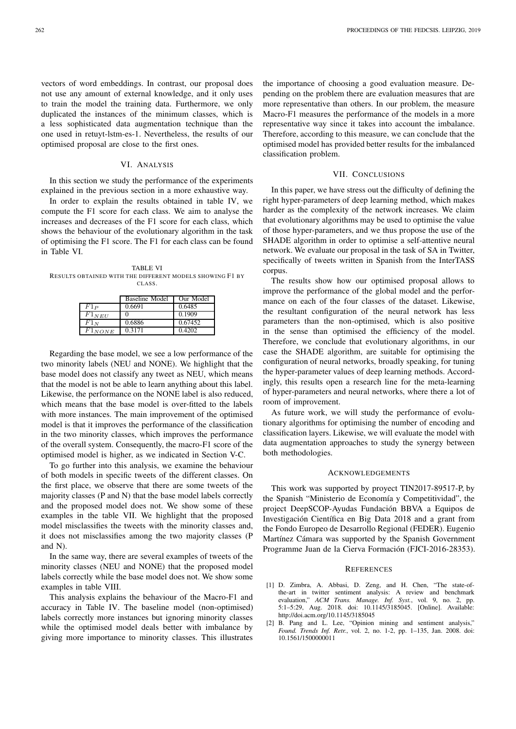vectors of word embeddings. In contrast, our proposal does not use any amount of external knowledge, and it only uses to train the model the training data. Furthermore, we only duplicated the instances of the minimum classes, which is a less sophisticated data augmentation technique than the one used in retuyt-lstm-es-1. Nevertheless, the results of our optimised proposal are close to the first ones.

# VI. ANALYSIS

In this section we study the performance of the experiments explained in the previous section in a more exhaustive way.

In order to explain the results obtained in table IV, we compute the F1 score for each class. We aim to analyse the increases and decreases of the F1 score for each class, which shows the behaviour of the evolutionary algorithm in the task of optimising the F1 score. The F1 for each class can be found in Table VI.

TABLE VI RESULTS OBTAINED WITH THE DIFFERENT MODELS SHOWING F1 BY CLASS.

|             | <b>Baseline Model</b> | Our Model |
|-------------|-----------------------|-----------|
| $F1_P$      | 0.6691                | 0.6485    |
| $F1_{NEU}$  |                       | 0.1909    |
| $F1_N$      | 0.6886                | 0.67452   |
| $F1_{NONE}$ | 0.3171                | 0.4202    |

Regarding the base model, we see a low performance of the two minority labels (NEU and NONE). We highlight that the base model does not classify any tweet as NEU, which means that the model is not be able to learn anything about this label. Likewise, the performance on the NONE label is also reduced, which means that the base model is over-fitted to the labels with more instances. The main improvement of the optimised model is that it improves the performance of the classification in the two minority classes, which improves the performance of the overall system. Consequently, the macro-F1 score of the optimised model is higher, as we indicated in Section V-C.

To go further into this analysis, we examine the behaviour of both models in specific tweets of the different classes. On the first place, we observe that there are some tweets of the majority classes (P and N) that the base model labels correctly and the proposed model does not. We show some of these examples in the table VII. We highlight that the proposed model misclassifies the tweets with the minority classes and, it does not misclassifies among the two majority classes (P and N).

In the same way, there are several examples of tweets of the minority classes (NEU and NONE) that the proposed model labels correctly while the base model does not. We show some examples in table VIII.

This analysis explains the behaviour of the Macro-F1 and accuracy in Table IV. The baseline model (non-optimised) labels correctly more instances but ignoring minority classes while the optimised model deals better with imbalance by giving more importance to minority classes. This illustrates

the importance of choosing a good evaluation measure. Depending on the problem there are evaluation measures that are more representative than others. In our problem, the measure Macro-F1 measures the performance of the models in a more representative way since it takes into account the imbalance. Therefore, according to this measure, we can conclude that the optimised model has provided better results for the imbalanced classification problem.

#### VII. CONCLUSIONS

In this paper, we have stress out the difficulty of defining the right hyper-parameters of deep learning method, which makes harder as the complexity of the network increases. We claim that evolutionary algorithms may be used to optimise the value of those hyper-parameters, and we thus propose the use of the SHADE algorithm in order to optimise a self-attentive neural network. We evaluate our proposal in the task of SA in Twitter, specifically of tweets written in Spanish from the InterTASS corpus.

The results show how our optimised proposal allows to improve the performance of the global model and the performance on each of the four classes of the dataset. Likewise, the resultant configuration of the neural network has less parameters than the non-optimised, which is also positive in the sense than optimised the efficiency of the model. Therefore, we conclude that evolutionary algorithms, in our case the SHADE algorithm, are suitable for optimising the configuration of neural networks, broadly speaking, for tuning the hyper-parameter values of deep learning methods. Accordingly, this results open a research line for the meta-learning of hyper-parameters and neural networks, where there a lot of room of improvement.

As future work, we will study the performance of evolutionary algorithms for optimising the number of encoding and classification layers. Likewise, we will evaluate the model with data augmentation approaches to study the synergy between both methodologies.

#### ACKNOWLEDGEMENTS

This work was supported by proyect TIN2017-89517-P, by the Spanish "Ministerio de Economía y Competitividad", the project DeepSCOP-Ayudas Fundación BBVA a Equipos de Investigación Científica en Big Data 2018 and a grant from the Fondo Europeo de Desarrollo Regional (FEDER). Eugenio Martínez Cámara was supported by the Spanish Government Programme Juan de la Cierva Formación (FJCI-2016-28353).

#### **REFERENCES**

- [1] D. Zimbra, A. Abbasi, D. Zeng, and H. Chen, "The state-ofthe-art in twitter sentiment analysis: A review and benchmark evaluation," *ACM Trans. Manage. Inf. Syst.*, vol. 9, no. 2, pp. 5:1–5:29, Aug. 2018. doi: 10.1145/3185045. [Online]. Available: http://doi.acm.org/10.1145/3185045
- [2] B. Pang and L. Lee, "Opinion mining and sentiment analysis," *Found. Trends Inf. Retr.*, vol. 2, no. 1-2, pp. 1–135, Jan. 2008. doi: 10.1561/1500000011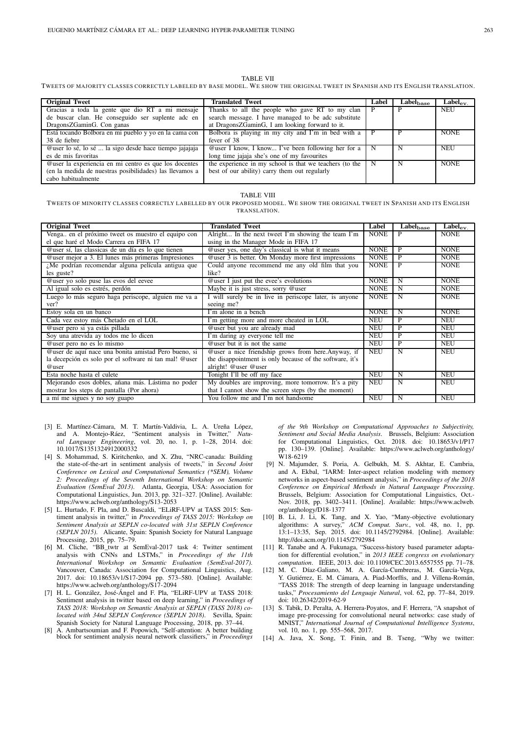#### TABLE VII

TWEETS OF MAJORITY CLASSES CORRECTLY LABELED BY BASE MODEL. WE SHOW THE ORIGINAL TWEET IN SPANISH AND ITS ENGLISH TRANSLATION.

| <b>Original Tweet</b>                                   | <b>Translated Tweet</b>                                 | Label | Label <sub>base</sub> | $\text{Label}_{\text{ev}}$ |
|---------------------------------------------------------|---------------------------------------------------------|-------|-----------------------|----------------------------|
| Gracias a toda la gente que dio RT a mi mensaje         | Thanks to all the people who gave RT to my clan         |       |                       | <b>NEU</b>                 |
| de buscar clan. He conseguido ser suplente adc en       | search message. I have managed to be adc substitute     |       |                       |                            |
| DragonsZGaminG. Con ganas                               | at DragonsZGaminG, I am looking forward to it.          |       |                       |                            |
| Está tocando Bolbora en mi pueblo y yo en la cama con   | Bolbora is playing in my city and I'm in bed with a     |       |                       | <b>NONE</b>                |
| 38 de fiebre                                            | fever of 38                                             |       |                       |                            |
| @user lo sé, lo sé  la sigo desde hace tiempo jajajaja  | @user I know, I know I've been following her for a      | N     | N                     | <b>NEU</b>                 |
| es de mis favoritas                                     | long time jajaja she's one of my favourites             |       |                       |                            |
| @user la experiencia en mi centro es que los docentes   | the experience in my school is that we teachers (to the | N     | N                     | <b>NONE</b>                |
| (en la medida de nuestras posibilidades) las llevamos a | best of our ability) carry them out regularly           |       |                       |                            |
| cabo habitualmente                                      |                                                         |       |                       |                            |

#### TABLE VIII

TWEETS OF MINORITY CLASSES CORRECTLY LABELLED BY OUR PROPOSED MODEL. WE SHOW THE ORIGINAL TWEET IN SPANISH AND ITS ENGLISH TRANSLATION.

| <b>Original Tweet</b>                                  | <b>Translated Tweet</b>                                  | Label       | $\overline{\text{Label}}_{\text{base}}$ | $\overline{\text{Label}}_{\text{ev}}$ |
|--------------------------------------------------------|----------------------------------------------------------|-------------|-----------------------------------------|---------------------------------------|
| Venga, en el próximo tweet os muestro el equipo con    | Alright In the next tweet I'm showing the team I'm       | <b>NONE</b> | P                                       | <b>NONE</b>                           |
| el que haré el Modo Carrera en FIFA 17                 | using in the Manager Mode in FIFA 17                     |             |                                         |                                       |
| Quier sí, las classicas de un día es lo que tienen     | @user yes, one day's classical is what it means          | <b>NONE</b> | P                                       | <b>NONE</b>                           |
| @user mejor a 3. El lunes más primeras Impresiones     | @user 3 is better. On Monday more first impressions      | <b>NONE</b> | P                                       | <b>NONE</b>                           |
| $i$ Me podrían recomendar alguna película antigua que  | Could anyone recommend me any old film that you          | <b>NONE</b> | P                                       | <b>NONE</b>                           |
| les guste?                                             | like?                                                    |             |                                         |                                       |
| @user yo solo puse las evos del eevee                  | <b>@user I</b> just put the evee's evolutions            | <b>NONE</b> | N                                       | <b>NONE</b>                           |
| Al igual solo es estrés, perdón                        | Maybe it is just stress, sorry @user                     | <b>NONE</b> | N                                       | <b>NONE</b>                           |
| Luego lo más seguro haga periscope, alguien me va a    | I will surely be in live in periscope later, is anyone   | <b>NONE</b> | N                                       | <b>NONE</b>                           |
| ver?                                                   | seeing me?                                               |             |                                         |                                       |
| Estoy sola en un banco                                 | I'm alone in a bench                                     | <b>NONE</b> | N                                       | <b>NONE</b>                           |
| Cada vez estoy más Chetado en el LOL                   | I'm getting more and more cheated in LOL                 | <b>NEU</b>  | P                                       | <b>NEU</b>                            |
| @user pero si ya estás pillada                         | @user but you are already mad                            | <b>NEU</b>  | P                                       | <b>NEU</b>                            |
| Soy una atrevida ay todos me lo dicen                  | I'm daring ay everyone tell me                           | <b>NEU</b>  | P                                       | <b>NEU</b>                            |
| @user pero no es lo mismo                              | Quiet but it is not the same                             | <b>NEU</b>  | P                                       | <b>NEU</b>                            |
| @user de aquí nace una bonita amistad Pero bueno, si   | @user a nice friendship grows from here.Anyway, if       | <b>NEU</b>  | N                                       | <b>NEU</b>                            |
| la decepción es solo por el software ni tan mal! @user | the disappointment is only because of the software, it's |             |                                         |                                       |
| @user                                                  | alright! @user @user                                     |             |                                         |                                       |
| Esta noche hasta el culete                             | Tonight I'll be off my face                              | <b>NEU</b>  | N                                       | <b>NEU</b>                            |
| Mejorando esos dobles, añana más. Lástima no poder     | My doubles are improving, more tomorrow. It's a pity     | <b>NEU</b>  | N                                       | <b>NEU</b>                            |
| mostrar los steps de pantalla (Por ahora)              | that I cannot show the screen steps (by the moment)      |             |                                         |                                       |
| a mí me sigues y no soy guapo                          | You follow me and I'm not handsome                       | <b>NEU</b>  | N                                       | <b>NEU</b>                            |

- [3] E. Martínez-Cámara, M. T. Martín-Valdivia, L. A. Ureña López, and A. Montejo-Ráez, "Sentiment analysis in Twitter," *Natural Language Engineering*, vol. 20, no. 1, p. 1–28, 2014. doi: 10.1017/S1351324912000332
- [4] S. Mohammad, S. Kiritchenko, and X. Zhu, "NRC-canada: Building the state-of-the-art in sentiment analysis of tweets," in *Second Joint Conference on Lexical and Computational Semantics (\*SEM), Volume 2: Proceedings of the Seventh International Workshop on Semantic Evaluation (SemEval 2013)*. Atlanta, Georgia, USA: Association for Computational Linguistics, Jun. 2013, pp. 321–327. [Online]. Available: https://www.aclweb.org/anthology/S13-2053
- [5] L. Hurtado, F. Pla, and D. Buscaldi, "ELiRF-UPV at TASS 2015: Sentiment analysis in twitter," in *Proceedings of TASS 2015: Workshop on Sentiment Analysis at SEPLN co-located with 31st SEPLN Conference (SEPLN 2015)*. Alicante, Spain: Spanish Society for Natural Language Processing, 2015, pp. 75–79.
- [6] M. Cliche, "BB\_twtr at SemEval-2017 task 4: Twitter sentiment analysis with CNNs and LSTMs," in *Proceedings of the 11th International Workshop on Semantic Evaluation (SemEval-2017)*. Vancouver, Canada: Association for Computational Linguistics, Aug. 2017. doi: 10.18653/v1/S17-2094 pp. 573–580. [Online]. Available: https://www.aclweb.org/anthology/S17-2094
- [7] H. L. González, José-Ángel and F. Pla, "ELiRF-UPV at TASS 2018: Sentiment analysis in twitter based on deep learning," in *Proceedings of TASS 2018: Workshop on Semantic Analysis at SEPLN (TASS 2018) colocated with 34nd SEPLN Conference (SEPLN 2018)*. Sevilla, Spain: Spanish Society for Natural Language Processing, 2018, pp. 37–44.
- [8] A. Ambartsoumian and F. Popowich, "Self-attention: A better building block for sentiment analysis neural network classifiers," in *Proceedings*

*of the 9th Workshop on Computational Approaches to Subjectivity, Sentiment and Social Media Analysis*. Brussels, Belgium: Association for Computational Linguistics, Oct. 2018. doi: 10.18653/v1/P17 pp. 130–139. [Online]. Available: https://www.aclweb.org/anthology/ W18-6219

- [9] N. Majumder, S. Poria, A. Gelbukh, M. S. Akhtar, E. Cambria, and A. Ekbal, "IARM: Inter-aspect relation modeling with memory networks in aspect-based sentiment analysis," in *Proceedings of the 2018 Conference on Empirical Methods in Natural Language Processing*. Brussels, Belgium: Association for Computational Linguistics, Oct.- Nov. 2018, pp. 3402–3411. [Online]. Available: https://www.aclweb. org/anthology/D18-1377
- [10] B. Li, J. Li, K. Tang, and X. Yao, "Many-objective evolutionary algorithms: A survey," ACM Comput. Surv., vol. 48, no. 1, pp. ACM Comput. Surv., vol. 48, no. 1, pp. 13:1–13:35, Sep. 2015. doi: 10.1145/2792984. [Online]. Available: http://doi.acm.org/10.1145/2792984
- [11] R. Tanabe and A. Fukunaga, "Success-history based parameter adaptation for differential evolution," in *2013 IEEE congress on evolutionary computation*. IEEE, 2013. doi: 10.1109/CEC.2013.6557555 pp. 71–78.
- [12] M. C. Díaz-Galiano, M. A. García-Cumbreras, M. García-Vega, Y. Gutiérrez, E. M. Cámara, A. Piad-Morffis, and J. Villena-Román, "TASS 2018: The strength of deep learning in language understanding tasks," *Procesamiento del Lenguaje Natural*, vol. 62, pp. 77–84, 2019. doi: 10.26342/2019-62-9
- [13] S. Tabik, D. Peralta, A. Herrera-Poyatos, and F. Herrera, "A snapshot of image pre-processing for convolutional neural networks: case study of MNIST," *International Journal of Computational Intelligence Systems*, vol. 10, no. 1, pp. 555–568, 2017.
- [14] A. Java, X. Song, T. Finin, and B. Tseng, "Why we twitter: